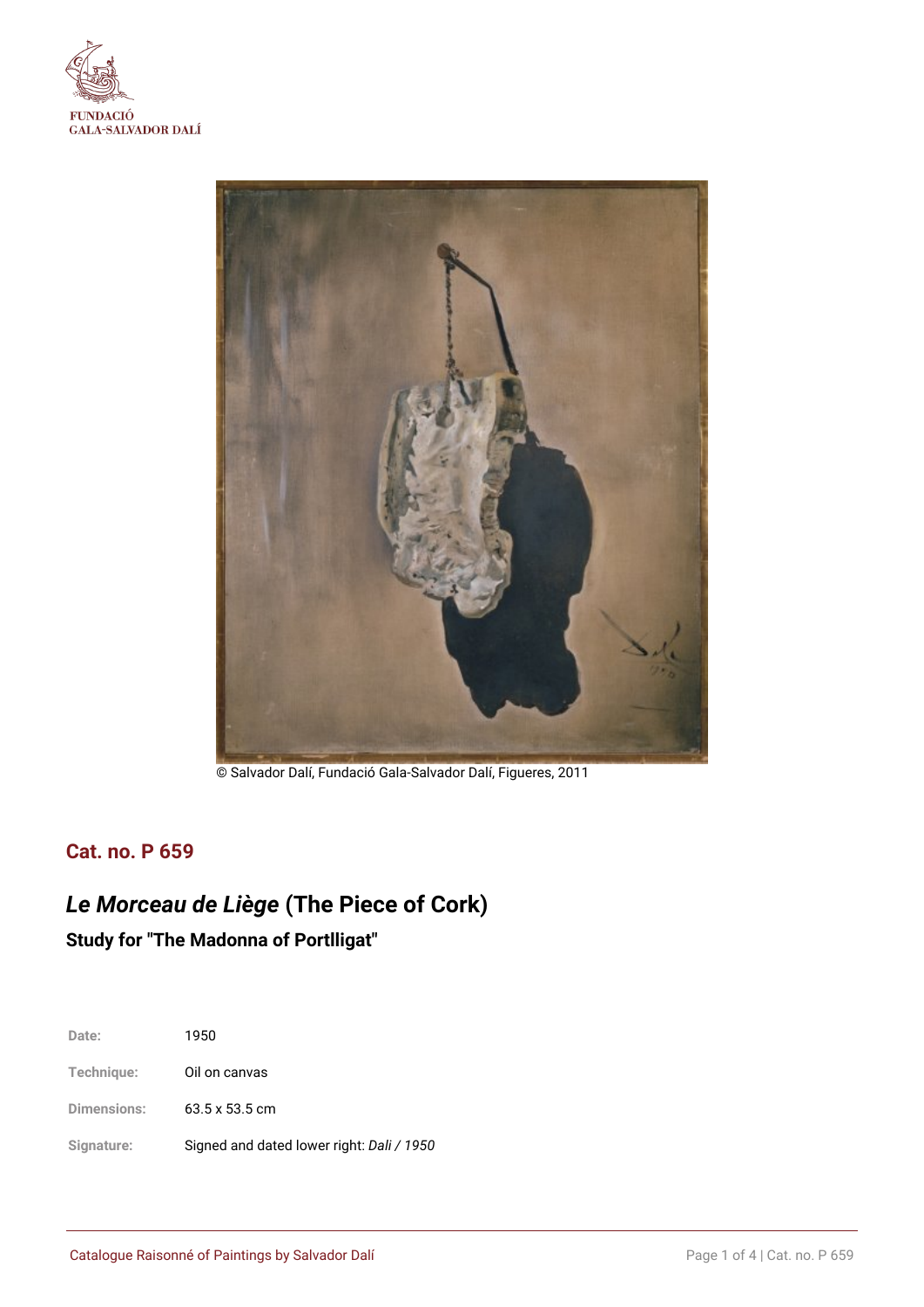



© Salvador Dalí, Fundació Gala-Salvador Dalí, Figueres, 2011

# **Cat. no. P 659**

# *Le Morceau de Liège* **(The Piece of Cork) Study for "The Madonna of Portlligat"**

| Date:              | 1950                                      |
|--------------------|-------------------------------------------|
| Technique:         | Oil on canvas                             |
| <b>Dimensions:</b> | $63.5 \times 53.5$ cm                     |
| Signature:         | Signed and dated lower right: Dali / 1950 |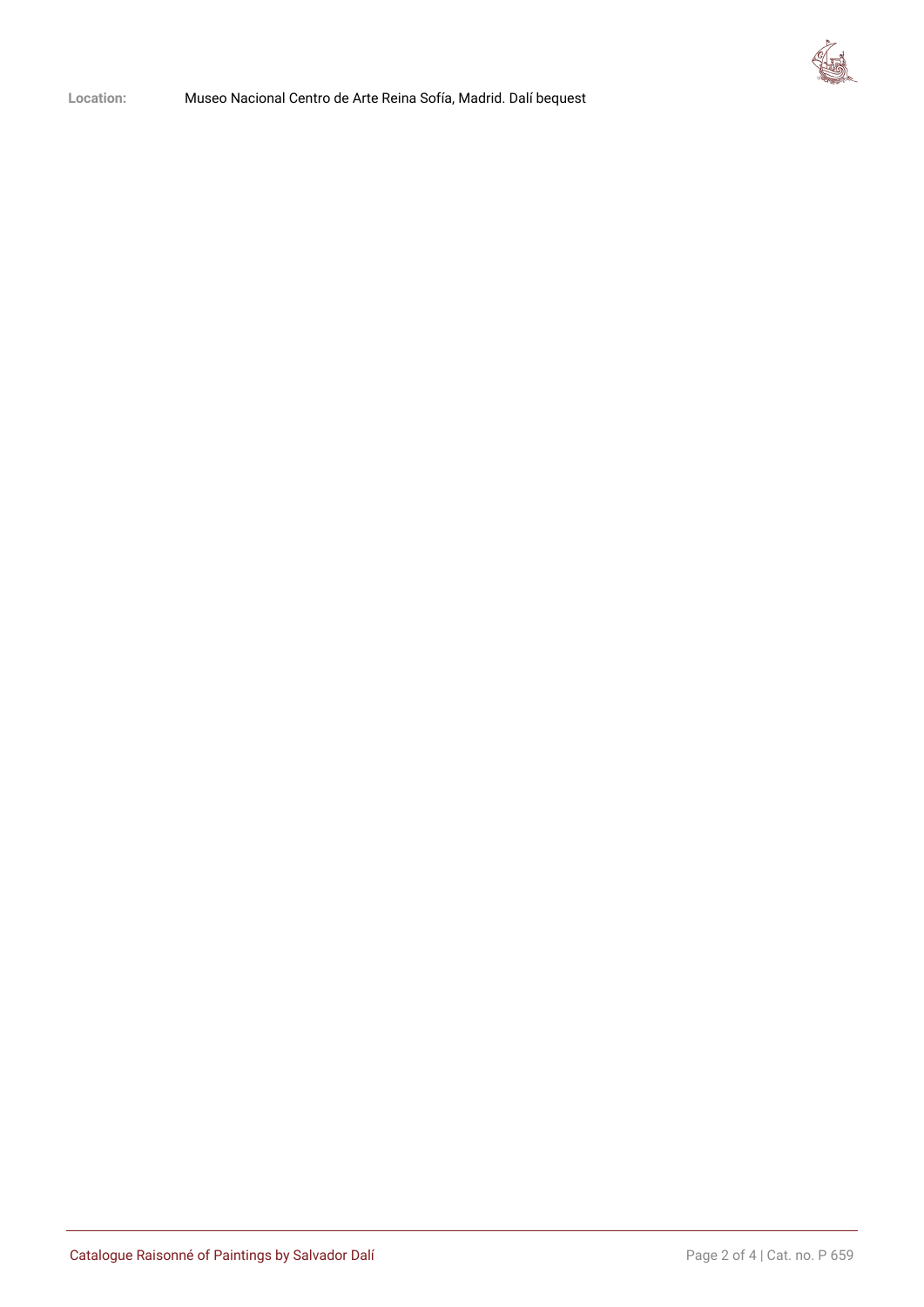

**Location:** Museo Nacional Centro de Arte Reina Sofía, Madrid. Dalí bequest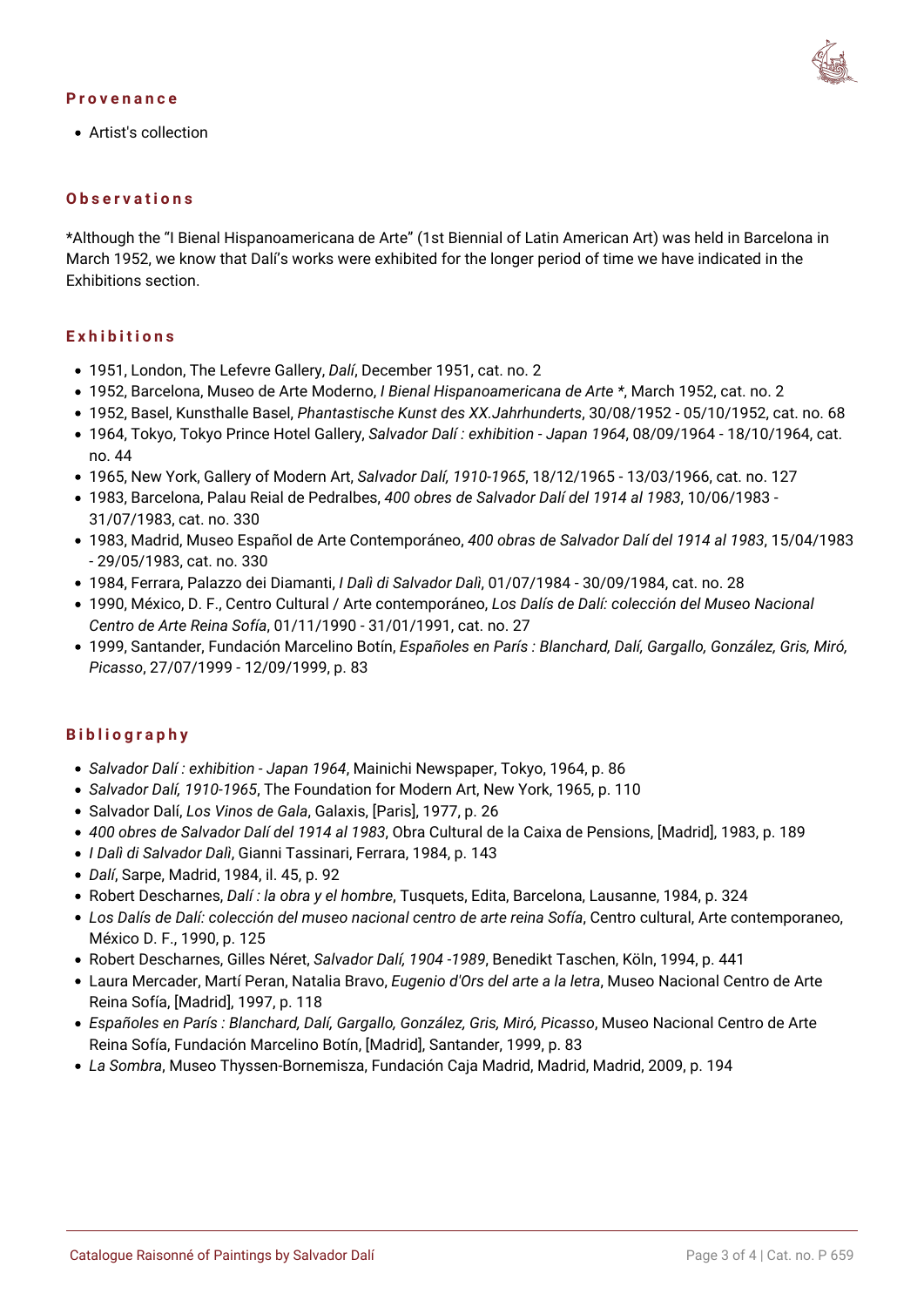#### **Provenance**



Artist's collection

#### **Observations**

\*Although the "I Bienal Hispanoamericana de Arte" (1st Biennial of Latin American Art) was held in Barcelona in March 1952, we know that Dalí's works were exhibited for the longer period of time we have indicated in the Exhibitions section.

#### **Exhibitions**

- 1951, London, The Lefevre Gallery, *Dalí*, December 1951, cat. no. 2
- 1952, Barcelona, Museo de Arte Moderno, *I Bienal Hispanoamericana de Arte \**, March 1952, cat. no. 2
- 1952, Basel, Kunsthalle Basel, *Phantastische Kunst des XX.Jahrhunderts*, 30/08/1952 05/10/1952, cat. no. 68
- 1964, Tokyo, Tokyo Prince Hotel Gallery, *Salvador Dalí : exhibition Japan 1964*, 08/09/1964 18/10/1964, cat. no. 44
- 1965, New York, Gallery of Modern Art, *Salvador Dalí, 1910-1965*, 18/12/1965 13/03/1966, cat. no. 127
- 1983, Barcelona, Palau Reial de Pedralbes, *400 obres de Salvador Dalí del 1914 al 1983*, 10/06/1983 31/07/1983, cat. no. 330
- 1983, Madrid, Museo Español de Arte Contemporáneo, *400 obras de Salvador Dalí del 1914 al 1983*, 15/04/1983 - 29/05/1983, cat. no. 330
- 1984, Ferrara, Palazzo dei Diamanti, *I Dalì di Salvador Dalì*, 01/07/1984 30/09/1984, cat. no. 28
- 1990, México, D. F., Centro Cultural / Arte contemporáneo, *Los Dalís de Dalí: colección del Museo Nacional Centro de Arte Reina Sofía*, 01/11/1990 - 31/01/1991, cat. no. 27
- 1999, Santander, Fundación Marcelino Botín, *Españoles en París : Blanchard, Dalí, Gargallo, González, Gris, Miró, Picasso*, 27/07/1999 - 12/09/1999, p. 83

### **Bibliography**

- *Salvador Dalí : exhibition Japan 1964*, Mainichi Newspaper, Tokyo, 1964, p. 86
- *Salvador Dalí, 1910-1965*, The Foundation for Modern Art, New York, 1965, p. 110
- Salvador Dalí, *Los Vinos de Gala*, Galaxis, [Paris], 1977, p. 26
- *400 obres de Salvador Dalí del 1914 al 1983*, Obra Cultural de la Caixa de Pensions, [Madrid], 1983, p. 189
- *I Dalì di Salvador Dalì*, Gianni Tassinari, Ferrara, 1984, p. 143
- *Dalí*, Sarpe, Madrid, 1984, il. 45, p. 92
- Robert Descharnes, *Dalí : la obra y el hombre*, Tusquets, Edita, Barcelona, Lausanne, 1984, p. 324
- *Los Dalís de Dalí: colección del museo nacional centro de arte reina Sofía*, Centro cultural, Arte contemporaneo, México D. F., 1990, p. 125
- Robert Descharnes, Gilles Néret, *Salvador Dalí, 1904 -1989*, Benedikt Taschen, Köln, 1994, p. 441
- Laura Mercader, Martí Peran, Natalia Bravo, *Eugenio d'Ors del arte a la letra*, Museo Nacional Centro de Arte Reina Sofía, [Madrid], 1997, p. 118
- *Españoles en París : Blanchard, Dalí, Gargallo, González, Gris, Miró, Picasso*, Museo Nacional Centro de Arte Reina Sofía, Fundación Marcelino Botín, [Madrid], Santander, 1999, p. 83
- *La Sombra*, Museo Thyssen-Bornemisza, Fundación Caja Madrid, Madrid, Madrid, 2009, p. 194